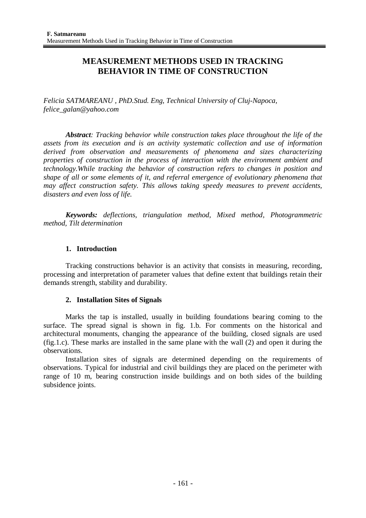# **MEASUREMENT METHODS USED IN TRACKING BEHAVIOR IN TIME OF CONSTRUCTION**

*Felicia SATMAREANU , PhD.Stud. Eng, Technical University of Cluj-Napoca, felice\_galan@yahoo.com*

*Abstract: Tracking behavior while construction takes place throughout the life of the assets from its execution and is an activity systematic collection and use of information derived from observation and measurements of phenomena and sizes characterizing properties of construction in the process of interaction with the environment ambient and technology.While tracking the behavior of construction refers to changes in position and shape of all or some elements of it, and referral emergence of evolutionary phenomena that may affect construction safety. This allows taking speedy measures to prevent accidents, disasters and even loss of life.*

*Keywords: deflections, triangulation method, Mixed method, Photogrammetric method, Tilt determination*

## **1. Introduction**

Tracking constructions behavior is an activity that consists in measuring, recording, processing and interpretation of parameter values that define extent that buildings retain their demands strength, stability and durability.

## **2. Installation Sites of Signals**

Marks the tap is installed, usually in building foundations bearing coming to the surface. The spread signal is shown in fig. 1.b. For comments on the historical and architectural monuments, changing the appearance of the building, closed signals are used (fig.1.c). These marks are installed in the same plane with the wall (2) and open it during the observations.

Installation sites of signals are determined depending on the requirements of observations. Typical for industrial and civil buildings they are placed on the perimeter with range of 10 m, bearing construction inside buildings and on both sides of the building subsidence joints.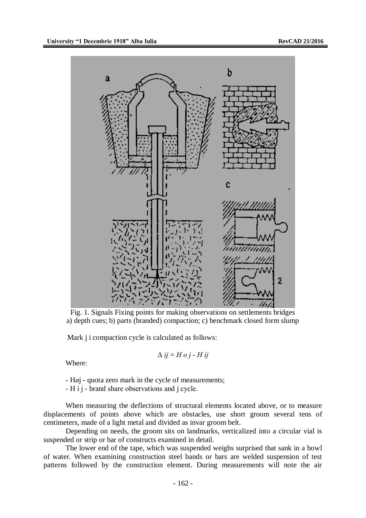

Fig. 1. Signals Fixing points for making observations on settlements bridges a) depth cues; b) parts (branded) compaction; c) benchmark closed form slump

Mark *j* i compaction cycle is calculated as follows:

$$
\Delta ij = Hoj - Hij
$$

Where:

- Høj - quota zero mark in the cycle of measurements;

- Η і ј - brand share observations and ј cycle.

When measuring the deflections of structural elements located above, or to measure displacements of points above which are obstacles, use short groom several tens of centimeters, made of a light metal and divided as invar groom belt.

Depending on needs, the groom sits on landmarks, verticalized into a circular vial is suspended or strip or bar of constructs examined in detail.

The lower end of the tape, which was suspended weighs surprised that sank in a bowl of water. When examining construction steel bands or bars are welded suspension of test patterns followed by the construction element. During measurements will note the air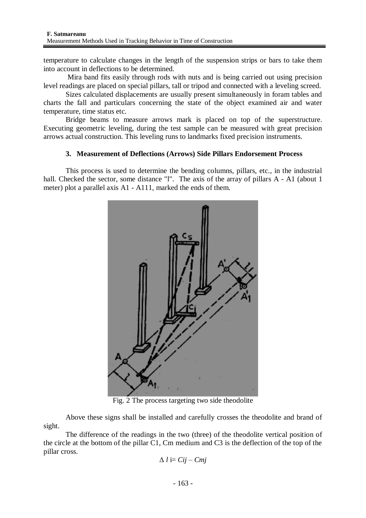temperature to calculate changes in the length of the suspension strips or bars to take them into account in deflections to be determined.

Mira band fits easily through rods with nuts and is being carried out using precision level readings are placed on special pillars, tall or tripod and connected with a leveling screed.

Sizes calculated displacements are usually present simultaneously in foram tables and charts the fall and particulars concerning the state of the object examined air and water temperature, time status etc.

Bridge beams to measure arrows mark is placed on top of the superstructure. Executing geometric leveling, during the test sample can be measured with great precision arrows actual construction. This leveling runs to landmarks fixed precision instruments.

## **3. Measurement of Deflections (Arrows) Side Pillars Endorsement Process**

This process is used to determine the bending columns, pillars, etc., in the industrial hall. Checked the sector, some distance "l". The axis of the array of pillars A - A1 (about 1) meter) plot a parallel axis A1 - A111, marked the ends of them.



Fig. 2 The process targeting two side theodolite

Above these signs shall be installed and carefully crosses the theodolite and brand of sight.

The difference of the readings in the two (three) of the theodolite vertical position of the circle at the bottom of the pillar C1, Cm medium and C3 is the deflection of the top of the pillar cross.

$$
\Delta l = Cij - Cmj
$$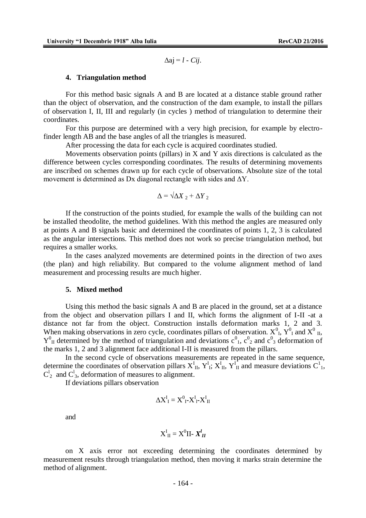$\Delta ai = l - Cii$ .

#### **4. Triangulation method**

For this method basic signals A and B are located at a distance stable ground rather than the object of observation, and the construction of the dam example, to install the pillars of observation I, II, III and regularly (in cycles ) method of triangulation to determine their coordinates.

For this purpose are determined with a very high precision, for example by electrofinder length AB and the base angles of all the triangles is measured.

After processing the data for each cycle is acquired coordinates studied.

Movements observation points (pillars) in X and Y axis directions is calculated as the difference between cycles corresponding coordinates. The results of determining movements are inscribed on schemes drawn up for each cycle of observations. Absolute size of the total movement is determined as Dx diagonal rectangle with sides and  $\Delta Y$ .

$$
\Delta = \sqrt{\Delta X_2 + \Delta Y_2}
$$

If the construction of the points studied, for example the walls of the building can not be installed theodolite, the method guidelines. With this method the angles are measured only at points A and B signals basic and determined the coordinates of points 1, 2, 3 is calculated as the angular intersections. This method does not work so precise triangulation method, but requires a smaller works.

In the cases analyzed movements are determined points in the direction of two axes (the plan) and high reliability. But compared to the volume alignment method of land measurement and processing results are much higher.

#### **5. Mixed method**

Using this method the basic signals A and B are placed in the ground, set at a distance from the object and observation pillars I and II, which forms the alignment of I-II -at a distance not far from the object. Construction installs deformation marks 1, 2 and 3. When making observations in zero cycle, coordinates pillars of observation.  $X^0_{\perp}$ ,  $Y^0_{\perp}$  and  $X^0_{\perp}$ ,  $Y_{II}^0$  determined by the method of triangulation and deviations  $c_{1}^0$ ,  $c_{2}^0$  and  $c_{3}^0$  deformation of the marks 1, 2 and 3 alignment face additional I-II is measured from the pillars.

In the second cycle of observations measurements are repeated in the same sequence, determine the coordinates of observation pillars  $X^I_{II}$ ,  $Y^I_{I}$ ;  $X^I_{II}$ ,  $Y^I_{II}$  and measure deviations  $C^1_{1}$ ,  $C_2^1$  and  $C_3^1$ , deformation of measures to alignment.

If deviations pillars observation

$$
\Delta X^I_I = X^0_{I} - X^I_{I} - X^I_{II}
$$

and

$$
X_{II}^I = X^0 II - X_{II}^I
$$

on X axis error not exceeding determining the coordinates determined by measurement results through triangulation method, then moving it marks strain determine the method of alignment.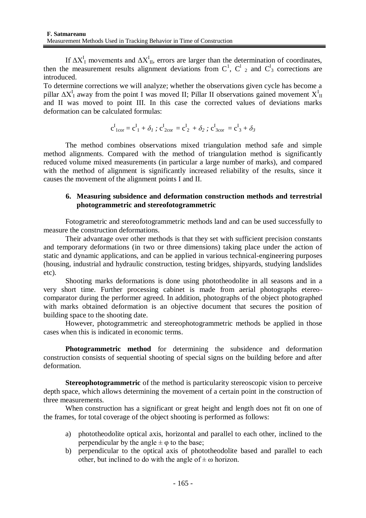If  $\Delta X^I$ <sub>I</sub> movements and  $\Delta X^I$ <sub>II</sub>, errors are larger than the determination of coordinates, then the measurement results alignment deviations from  $C^1$ ,  $C^1$  and  $C^1$  corrections are introduced.

To determine corrections we will analyze; whether the observations given cycle has become a pillar  $\Delta X_I^I$  away from the point I was moved II; Pillar II observations gained movement  $X_I^I$ and II was moved to point III. In this case the corrected values of deviations marks deformation can be calculated formulas:

$$
c_{1cor}^{I} = c_{1}^{I} + \delta_{I}; c_{2cor}^{I} = c_{2}^{I} + \delta_{2}; c_{3cor}^{I} = c_{3}^{I} + \delta_{3}
$$

The method combines observations mixed triangulation method safe and simple method alignments. Compared with the method of triangulation method is significantly reduced volume mixed measurements (in particular a large number of marks), and compared with the method of alignment is significantly increased reliability of the results, since it causes the movement of the alignment points I and II.

## **6. Measuring subsidence and deformation construction methods and terrestrial photogrammetric and stereofotogrammetric**

Fotogrametric and stereofotogrammetric methods land and can be used successfully to measure the construction deformations.

Their advantage over other methods is that they set with sufficient precision constants and temporary deformations (in two or three dimensions) taking place under the action of static and dynamic applications, and can be applied in various technical-engineering purposes (housing, industrial and hydraulic construction, testing bridges, shipyards, studying landslides etc).

Shooting marks deformations is done using phototheodolite in all seasons and in a very short time. Further processing cabinet is made from aerial photographs etereocomparator during the performer agreed. In addition, photographs of the object photographed with marks obtained deformation is an objective document that secures the position of building space to the shooting date.

However, photogrammetric and stereophotogrammetric methods be applied in those cases when this is indicated in economic terms.

**Photogrammetric method** for determining the subsidence and deformation construction consists of sequential shooting of special signs on the building before and after deformation.

**Stereophotogrammetric** of the method is particularity stereoscopic vision to perceive depth space, which allows determining the movement of a certain point in the construction of three measurements.

When construction has a significant or great height and length does not fit on one of the frames, for total coverage of the object shooting is performed as follows:

- a) phototheodolite optical axis, horizontal and parallel to each other, inclined to the perpendicular by the angle  $\pm \varphi$  to the base;
- b) perpendicular to the optical axis of phototheodolite based and parallel to each other, but inclined to do with the angle of  $\pm \omega$  horizon.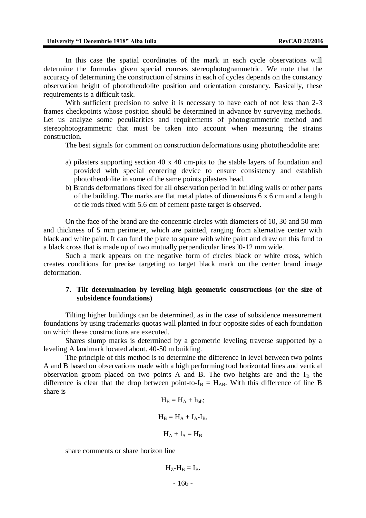In this case the spatial coordinates of the mark in each cycle observations will determine the formulas given special courses stereophotogrammetric. We note that the accuracy of determining the construction of strains in each of cycles depends on the constancy observation height of phototheodolite position and orientation constancy. Basically, these requirements is a difficult task.

With sufficient precision to solve it is necessary to have each of not less than 2-3 frames checkpoints whose position should be determined in advance by surveying methods. Let us analyze some peculiarities and requirements of photogrammetric method and stereophotogrammetric that must be taken into account when measuring the strains construction.

The best signals for comment on construction deformations using phototheodolite are:

- a) pilasters supporting section 40 x 40 cm-pits to the stable layers of foundation and provided with special centering device to ensure consistency and establish phototheodolite in some of the same points pilasters head.
- b) Brands deformations fixed for all observation period in building walls or other parts of the building. The marks are flat metal plates of dimensions 6 x 6 cm and a length of tie rods fixed with 5.6 cm of cement paste target is observed.

On the face of the brand are the concentric circles with diameters of 10, 30 and 50 mm and thickness of 5 mm perimeter, which are painted, ranging from alternative center with black and white paint. It can fund the plate to square with white paint and draw on this fund to a black cross that is made up of two mutually perpendicular lines l0-12 mm wide.

Such a mark appears on the negative form of circles black or white cross, which creates conditions for precise targeting to target black mark on the center brand image deformation.

### **7. Tilt determination by leveling high geometric constructions (or the size of subsidence foundations)**

Tilting higher buildings can be determined, as in the case of subsidence measurement foundations by using trademarks quotas wall planted in four opposite sides of each foundation on which these constructions are executed.

Shares slump marks is determined by a geometric leveling traverse supported by a leveling A landmark located about. 40-50 m building.

The principle of this method is to determine the difference in level between two points A and B based on observations made with a high performing tool horizontal lines and vertical observation groom placed on two points A and B. The two heights are and the  $I_B$  the difference is clear that the drop between point-to- $I_B = H_{AB}$ . With this difference of line B share is

$$
H_B = H_A + h_{ab};
$$
  

$$
H_B = H_A + I_A - I_B,
$$
  

$$
H_A + I_A = H_B
$$

share comments or share horizon line

- 166 -  $H_Z-H_B = I_B$ .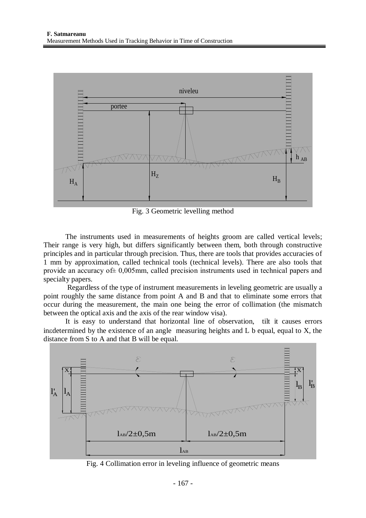

Fig. 3 Geometric levelling method

The instruments used in measurements of heights groom are called vertical levels; Their range is very high, but differs significantly between them, both through constructive principles and in particular through precision. Thus, there are tools that provides accuracies of 1 mm by approximation, called technical tools (technical levels). There are also tools that provide an accuracy of± 0,005mm, called precision instruments used in technical papers and specialty papers.

Regardless of the type of instrument measurements in leveling geometric are usually a point roughly the same distance from point A and B and that to eliminate some errors that occur during the measurement, the main one being the error of collimation (the mismatch between the optical axis and the axis of the rear window visa).

It is easy to understand that horizontal line of observation, tilt it causes errors inedetermined by the existence of an angle measuring heights and  $L$  b equal, equal to  $X$ , the distance from S to A and that B will be equal.



Fig. 4 Collimation error in leveling influence of geometric means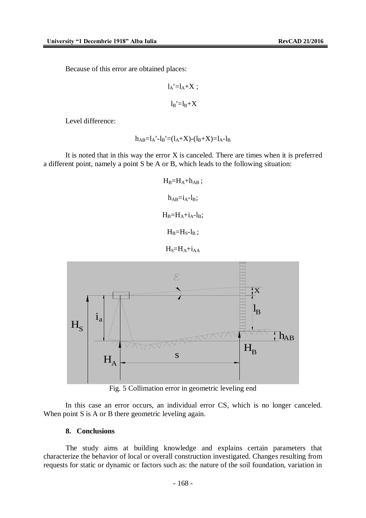$$
l_A' = l_A + X ;
$$
  

$$
l_B' = l_B + X
$$

Level difference:

$$
h_{AB}\!\!=\!\!l_A'\!\cdot\!l_B'\!\!=\!\!(l_A\!\!+\!\!X)\!\cdot\!(l_B\!\!+\!\!X)\!\!=\!\!l_A\!\!-\!\!l_B
$$

It is noted that in this way the error X is canceled. There are times when it is preferred a different point, namely a point S be A or B, which leads to the following situation:

$$
H_B=H_A+h_{AB};
$$
  
\n
$$
h_{AB}=i_A-l_B;
$$
  
\n
$$
H_B=H_A+i_A-l_B;
$$
  
\n
$$
H_B=H_S-l_B;
$$

 $H_S = H_A + i_{AA}$ 



Fig. 5 Collimation error in geometric leveling end

In this case an error occurs, an individual error CS, which is no longer canceled. When point S is A or B there geometric leveling again.

## **8. Conclusions**

The study aims at building knowledge and explains certain parameters that characterize the behavior of local or overall construction investigated. Changes resulting from requests for static or dynamic or factors such as: the nature of the soil foundation, variation in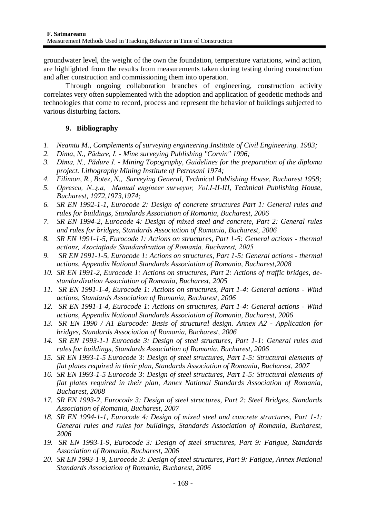groundwater level, the weight of the own the foundation, temperature variations, wind action, are highlighted from the results from measurements taken during testing during construction and after construction and commissioning them into operation.

Through ongoing collaboration branches of engineering, construction activity correlates very often supplemented with the adoption and application of geodetic methods and technologies that come to record, process and represent the behavior of buildings subjected to various disturbing factors.

## **9. Bibliography**

- *1. Neamtu M., Complements of surveying engineering.Institute of Civil Engineering. 1983;*
- *2. Dima, N., Pădure, I. - Mine surveying Publishing "Corvin" 1996;*
- *3. Dima, N., Pădure I. - Mining Topography, Guidelines for the preparation of the diploma project. Lithography Mining Institute of Petrosani 1974;*
- *4. Filimon, R., Botez, N., Surveying General, Technical Publishing House, Bucharest 1958;*
- *5. Oprescu, N..ş.a, Manual engineer surveyor, Vol.I-II-III, Technical Publishing House, Bucharest, 1972,1973,1974;*
- *6. SR EN 1992-1-1, Eurocode 2: Design of concrete structures Part 1: General rules and rules for buildings, Standards Association of Romania, Bucharest, 2006*
- *7. SR EN 1994-2, Eurocode 4: Design of mixed steel and concrete, Part 2: General rules and rules for bridges, Standards Association of Romania, Bucharest, 2006*
- *8. SR EN 1991-1-5, Eurocode 1: Actions on structures, Part 1-5: General actions - thermal actions, Asociaţiade Standardization of Romania, Bucharest, 2005*
- *9. SR EN 1991-1-5, Eurocode 1: Actions on structures, Part 1-5: General actions - thermal actions, Appendix National Standards Association of Romania, Bucharest,2008*
- *10. SR EN 1991-2, Eurocode 1: Actions on structures, Part 2: Actions of traffic bridges, destandardization Association of Romania, Bucharest, 2005*
- *11. SR EN 1991-1-4, Eurocode 1: Actions on structures, Part 1-4: General actions - Wind actions, Standards Association of Romania, Bucharest, 2006*
- *12. SR EN 1991-1-4, Eurocode 1: Actions on structures, Part 1-4: General actions - Wind actions, Appendix National Standards Association of Romania, Bucharest, 2006*
- *13. SR EN 1990 / A1 Eurocode: Basis of structural design. Annex A2 - Application for bridges, Standards Association of Romania, Bucharest, 2006*
- *14. SR EN 1993-1-1 Eurocode 3: Design of steel structures, Part 1-1: General rules and rules for buildings, Standards Association of Romania, Bucharest, 2006*
- *15. SR EN 1993-1-5 Eurocode 3: Design of steel structures, Part 1-5: Structural elements of flat plates required in their plan, Standards Association of Romania, Bucharest, 2007*
- *16. SR EN 1993-1-5 Eurocode 3: Design of steel structures, Part 1-5: Structural elements of flat plates required in their plan, Annex National Standards Association of Romania, Bucharest, 2008*
- *17. SR EN 1993-2, Eurocode 3: Design of steel structures, Part 2: Steel Bridges, Standards Association of Romania, Bucharest, 2007*
- *18. SR EN 1994-1-1, Eurocode 4: Design of mixed steel and concrete structures, Part 1-1: General rules and rules for buildings, Standards Association of Romania, Bucharest, 2006*
- *19. SR EN 1993-1-9, Eurocode 3: Design of steel structures, Part 9: Fatigue, Standards Association of Romania, Bucharest, 2006*
- *20. SR EN 1993-1-9, Eurocode 3: Design of steel structures, Part 9: Fatigue, Annex National Standards Association of Romania, Bucharest, 2006*